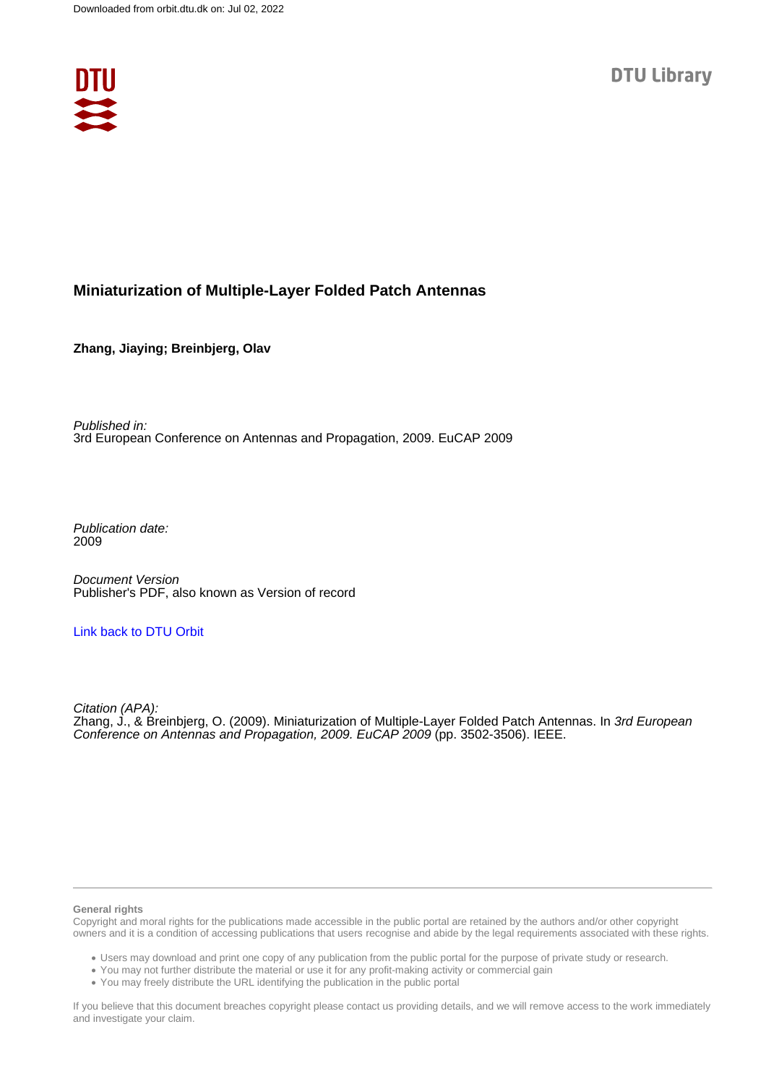

# **Miniaturization of Multiple-Layer Folded Patch Antennas**

**Zhang, Jiaying; Breinbjerg, Olav**

Published in: 3rd European Conference on Antennas and Propagation, 2009. EuCAP 2009

Publication date: 2009

Document Version Publisher's PDF, also known as Version of record

# [Link back to DTU Orbit](https://orbit.dtu.dk/en/publications/72d1e9f2-6be6-466a-b1c3-6dfc54d90e8c)

Citation (APA): Zhang, J., & Breinbjerg, O. (2009). Miniaturization of Multiple-Layer Folded Patch Antennas. In 3rd European Conference on Antennas and Propagation, 2009. EuCAP 2009 (pp. 3502-3506). IEEE.

#### **General rights**

Copyright and moral rights for the publications made accessible in the public portal are retained by the authors and/or other copyright owners and it is a condition of accessing publications that users recognise and abide by the legal requirements associated with these rights.

Users may download and print one copy of any publication from the public portal for the purpose of private study or research.

- You may not further distribute the material or use it for any profit-making activity or commercial gain
- You may freely distribute the URL identifying the publication in the public portal

If you believe that this document breaches copyright please contact us providing details, and we will remove access to the work immediately and investigate your claim.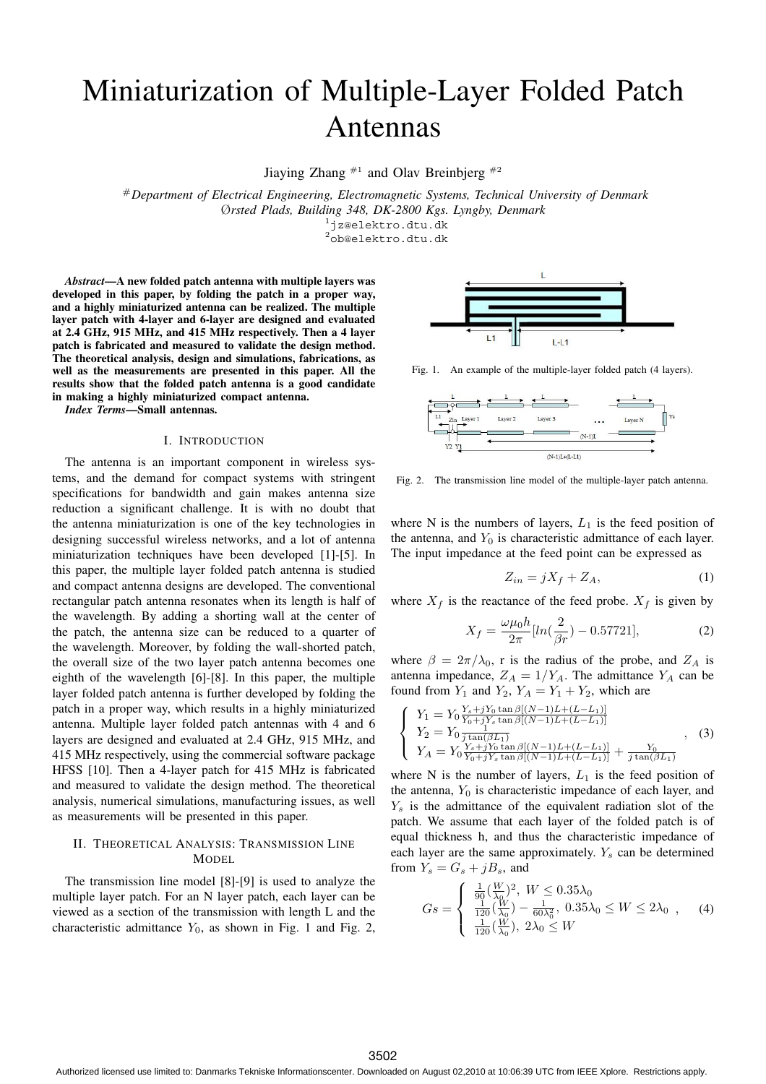# Miniaturization of Multiple-Layer Folded Patch Antennas

Jiaying Zhang  $*$ <sup>1</sup> and Olav Breinbjerg  $*$ <sup>2</sup>

#*Department of Electrical Engineering, Electromagnetic Systems, Technical University of Denmark* Ø*rsted Plads, Building 348, DK-2800 Kgs. Lyngby, Denmark*

<sup>1</sup>jz@elektro.dtu.dk

 $^{2}$ ob@elektro.dtu.dk

*Abstract***—A new folded patch antenna with multiple layers was developed in this paper, by folding the patch in a proper way, and a highly miniaturized antenna can be realized. The multiple layer patch with 4-layer and 6-layer are designed and evaluated at 2.4 GHz, 915 MHz, and 415 MHz respectively. Then a 4 layer patch is fabricated and measured to validate the design method. The theoretical analysis, design and simulations, fabrications, as well as the measurements are presented in this paper. All the results show that the folded patch antenna is a good candidate in making a highly miniaturized compact antenna.**

*Index Terms***—Small antennas.**

#### I. INTRODUCTION

The antenna is an important component in wireless systems, and the demand for compact systems with stringent specifications for bandwidth and gain makes antenna size reduction a significant challenge. It is with no doubt that the antenna miniaturization is one of the key technologies in designing successful wireless networks, and a lot of antenna miniaturization techniques have been developed [1]-[5]. In this paper, the multiple layer folded patch antenna is studied and compact antenna designs are developed. The conventional rectangular patch antenna resonates when its length is half of the wavelength. By adding a shorting wall at the center of the patch, the antenna size can be reduced to a quarter of the wavelength. Moreover, by folding the wall-shorted patch, the overall size of the two layer patch antenna becomes one eighth of the wavelength [6]-[8]. In this paper, the multiple layer folded patch antenna is further developed by folding the patch in a proper way, which results in a highly miniaturized antenna. Multiple layer folded patch antennas with 4 and 6 layers are designed and evaluated at 2.4 GHz, 915 MHz, and 415 MHz respectively, using the commercial software package HFSS [10]. Then a 4-layer patch for 415 MHz is fabricated and measured to validate the design method. The theoretical analysis, numerical simulations, manufacturing issues, as well as measurements will be presented in this paper.

### II. THEORETICAL ANALYSIS: TRANSMISSION LINE **MODEL**

The transmission line model [8]-[9] is used to analyze the multiple layer patch. For an N layer patch, each layer can be viewed as a section of the transmission with length L and the characteristic admittance  $Y_0$ , as shown in Fig. 1 and Fig. 2,



Fig. 1. An example of the multiple-layer folded patch (4 layers).



Fig. 2. The transmission line model of the multiple-layer patch antenna.

where N is the numbers of layers,  $L_1$  is the feed position of the antenna, and  $Y_0$  is characteristic admittance of each layer. The input impedance at the feed point can be expressed as

$$
Z_{in} = jX_f + Z_A,\tag{1}
$$

where  $X_f$  is the reactance of the feed probe.  $X_f$  is given by

$$
X_f = \frac{\omega \mu_0 h}{2\pi} [ln(\frac{2}{\beta r}) - 0.57721],\tag{2}
$$

where  $\beta = 2\pi/\lambda_0$ , r is the radius of the probe, and  $Z_A$  is antenna impedance,  $Z_A = 1/Y_A$ . The admittance  $Y_A$  can be found from  $Y_1$  and  $Y_2$ ,  $Y_A = Y_1 + Y_2$ , which are

$$
\begin{cases}\nY_1 = Y_0 \frac{Y_s + jY_0 \tan \beta[(N-1)L + (L-L_1)]}{Y_0 + jY_s \tan \beta[(N-1)L + (L-L_1)]} \\
Y_2 = Y_0 \frac{1}{j \tan(\beta L_1)} \\
Y_A = Y_0 \frac{Y_s + jY_0 \tan \beta[(N-1)L + (L-L_1)]}{Y_0 + jY_s \tan \beta[(N-1)L + (L-L_1)]} + \frac{Y_0}{j \tan(\beta L_1)}\n\end{cases},
$$
\n(3)

where N is the number of layers,  $L_1$  is the feed position of the antenna,  $Y_0$  is characteristic impedance of each layer, and  $Y_s$  is the admittance of the equivalent radiation slot of the patch. We assume that each layer of the folded patch is of equal thickness h, and thus the characteristic impedance of each layer are the same approximately.  $Y_s$  can be determined from  $Y_s = G_s + jB_s$ , and

$$
Gs = \begin{cases} \frac{1}{90} (\frac{W}{\lambda_0})^2, W \le 0.35\lambda_0\\ \frac{1}{120} (\frac{W}{\lambda_0}) - \frac{1}{60\lambda_0^2}, 0.35\lambda_0 \le W \le 2\lambda_0\\ \frac{1}{120} (\frac{W}{\lambda_0}), 2\lambda_0 \le W \end{cases}
$$
 (4)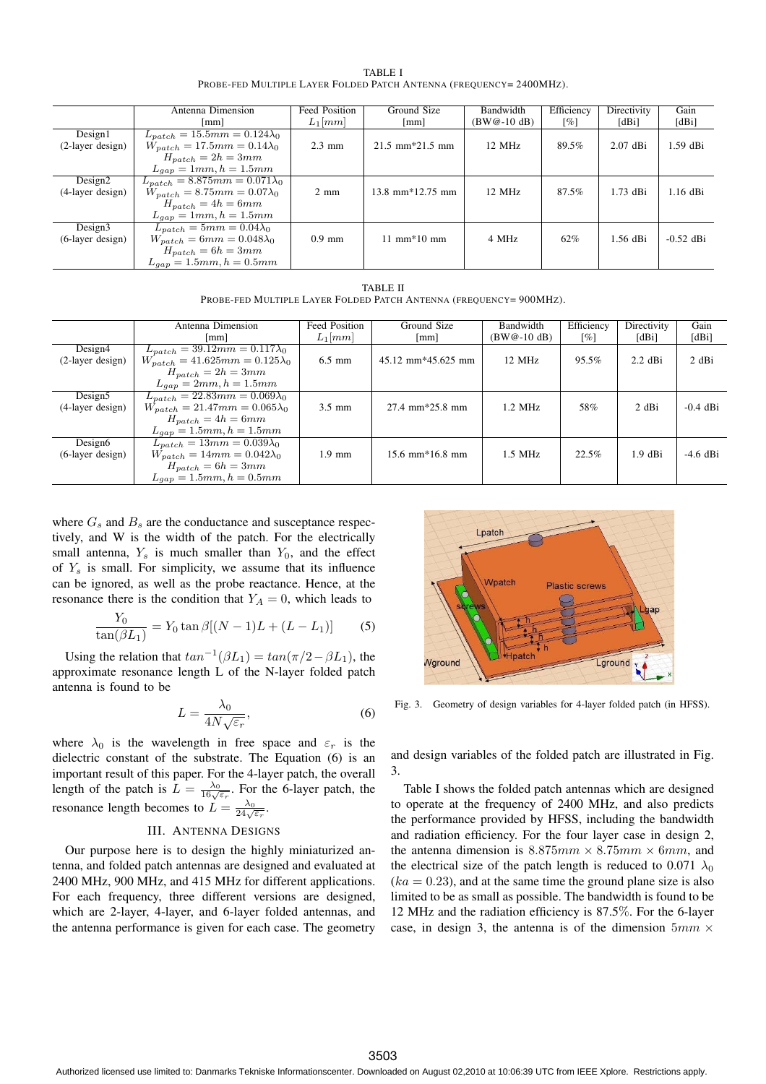| <b>TABLE I</b>                                                      |  |
|---------------------------------------------------------------------|--|
| PROBE-FED MULTIPLE LAYER FOLDED PATCH ANTENNA (FREQUENCY= 2400MHZ). |  |

|                        | Antenna Dimension                      | Feed Position    | Ground Size                              | Bandwidth        | Efficiency | Directivity | Gain        |
|------------------------|----------------------------------------|------------------|------------------------------------------|------------------|------------|-------------|-------------|
|                        | $\lceil$ mm $\rceil$                   | $L_1$ [mm]       | [mm]                                     | $(BW@-10 dB)$    | [%]        | [dBi]       | [dBi]       |
| Design1                | $L_{patch} = 15.5mm = 0.124\lambda_0$  |                  |                                          |                  |            |             |             |
| $(2-layer design)$     | $W_{patch} = 17.5mm = 0.14\lambda_0$   | $2.3 \text{ mm}$ | $21.5 \text{ mm} \times 21.5 \text{ mm}$ | $12 \text{ MHz}$ | 89.5%      | $2.07$ dBi  | $1.59$ dBi  |
|                        | $H_{patch} = 2h = 3mm$                 |                  |                                          |                  |            |             |             |
|                        | $L_{gap} = 1mm$ , $h = 1.5mm$          |                  |                                          |                  |            |             |             |
| Design <sub>2</sub>    | $L_{patch} = 8.875mm = 0.071\lambda_0$ |                  |                                          |                  |            |             |             |
| $(4-layer design)$     | $W_{patch} = 8.75mm = 0.07\lambda_0$   | $2 \text{ mm}$   | $13.8$ mm $*12.75$ mm                    | $12$ MHz         | 87.5%      | $1.73$ dBi  | $1.16$ dBi  |
|                        | $H_{patch} = 4h = 6mm$                 |                  |                                          |                  |            |             |             |
|                        | $L_{gap} = 1mm, h = 1.5mm$             |                  |                                          |                  |            |             |             |
| Design <sub>3</sub>    | $L_{match} = 5mm = 0.04\lambda_0$      |                  |                                          |                  |            |             |             |
| $(6$ -layer design $)$ | $W_{patch} = 6mm = 0.048\lambda_0$     | $0.9$ mm         | $11 \text{ mm} * 10 \text{ mm}$          | 4 MHz            | 62%        | 1.56 dBi    | $-0.52$ dBi |
|                        | $H_{patch} = 6h = 3mm$                 |                  |                                          |                  |            |             |             |
|                        | $L_{gap} = 1.5mm, h = 0.5mm$           |                  |                                          |                  |            |             |             |

TABLE II PROBE-FED MULTIPLE LAYER FOLDED PATCH ANTENNA (FREQUENCY= 900MHZ).

|                                         |                                             |                               |                   |                  |            | Gain        |
|-----------------------------------------|---------------------------------------------|-------------------------------|-------------------|------------------|------------|-------------|
| [mm]                                    | $L_1$ [mm]                                  | $\lceil$ mm $\rceil$          | $(BW@-10 dB)$     | [%]              | [dBi]      | [dBi]       |
| $L_{patch} = 39.12mm = 0.117\lambda_0$  |                                             |                               |                   |                  |            |             |
| $W_{patch} = 41.625mm = 0.125\lambda_0$ | $6.5 \text{ mm}$                            | $45.12 \text{ mm}$ *45.625 mm | $12$ MHz          | 95.5%            | $2.2$ dBi  | 2 dBi       |
|                                         |                                             |                               |                   |                  |            |             |
| $L_{aan} = 2mm, h = 1.5mm$              |                                             |                               |                   |                  |            |             |
| $L_{patch} = 22.83mm = 0.069\lambda_0$  |                                             |                               |                   |                  |            |             |
| $W_{patch} = 21.47mm = 0.065\lambda_0$  | $3.5 \text{ mm}$                            | $27.4 \text{ mm}$ *25.8 mm    | $1.2 \text{ MHz}$ | 58%              | 2 dBi      | $-0.4$ dBi  |
| $H_{patch} = 4h = 6mm$                  |                                             |                               |                   |                  |            |             |
| $L_{gap} = 1.5mm, h = 1.5mm$            |                                             |                               |                   |                  |            |             |
| $L_{match} = 13mm = 0.039\lambda_0$     |                                             |                               |                   |                  |            |             |
| $W_{patch} = 14mm = 0.042\lambda_0$     | $1.9$ mm                                    | $15.6 \text{ mm}$ *16.8 mm    | $1.5$ MHz         | 22.5%            | $1.9$ dBi  | $-4.6$ dBi  |
| $H_{patch} = 6h = 3mm$                  |                                             |                               |                   |                  |            |             |
| $L_{gap} = 1.5mm, h = 0.5mm$            |                                             |                               |                   |                  |            |             |
|                                         | Antenna Dimension<br>$H_{patch} = 2h = 3mm$ | <b>Feed Position</b>          | Ground Size       | <b>Bandwidth</b> | Efficiency | Directivity |

where  $G_s$  and  $B_s$  are the conductance and susceptance respectively, and W is the width of the patch. For the electrically small antenna,  $Y_s$  is much smaller than  $Y_0$ , and the effect of  $Y_s$  is small. For simplicity, we assume that its influence can be ignored, as well as the probe reactance. Hence, at the resonance there is the condition that  $Y_A = 0$ , which leads to

$$
\frac{Y_0}{\tan(\beta L_1)} = Y_0 \tan \beta [(N - 1)L + (L - L_1)] \tag{5}
$$

Using the relation that  $tan^{-1}(\beta L_1) = tan(\pi/2 - \beta L_1)$ , the approximate resonance length L of the N-layer folded patch antenna is found to be

$$
L = \frac{\lambda_0}{4N\sqrt{\varepsilon_r}},\tag{6}
$$

where  $\lambda_0$  is the wavelength in free space and  $\varepsilon_r$  is the dielectric constant of the substrate. The Equation (6) is an important result of this paper. For the 4-layer patch, the overall length of the patch is  $L = \frac{\lambda_0}{16\sqrt{\epsilon_r}}$ . For the 6-layer patch, the resonance length becomes to  $L = \frac{\lambda_0}{24\sqrt{\varepsilon_r}}$ .

#### III. ANTENNA DESIGNS

Our purpose here is to design the highly miniaturized antenna, and folded patch antennas are designed and evaluated at 2400 MHz, 900 MHz, and 415 MHz for different applications. For each frequency, three different versions are designed, which are 2-layer, 4-layer, and 6-layer folded antennas, and the antenna performance is given for each case. The geometry



Fig. 3. Geometry of design variables for 4-layer folded patch (in HFSS).

and design variables of the folded patch are illustrated in Fig. 3.

Table I shows the folded patch antennas which are designed to operate at the frequency of 2400 MHz, and also predicts the performance provided by HFSS, including the bandwidth and radiation efficiency. For the four layer case in design 2, the antenna dimension is  $8.875mm \times 8.75mm \times 6mm$ , and the electrical size of the patch length is reduced to 0.071  $\lambda_0$  $(ka = 0.23)$ , and at the same time the ground plane size is also limited to be as small as possible. The bandwidth is found to be 12 MHz and the radiation efficiency is 87.5%. For the 6-layer case, in design 3, the antenna is of the dimension  $5mm \times$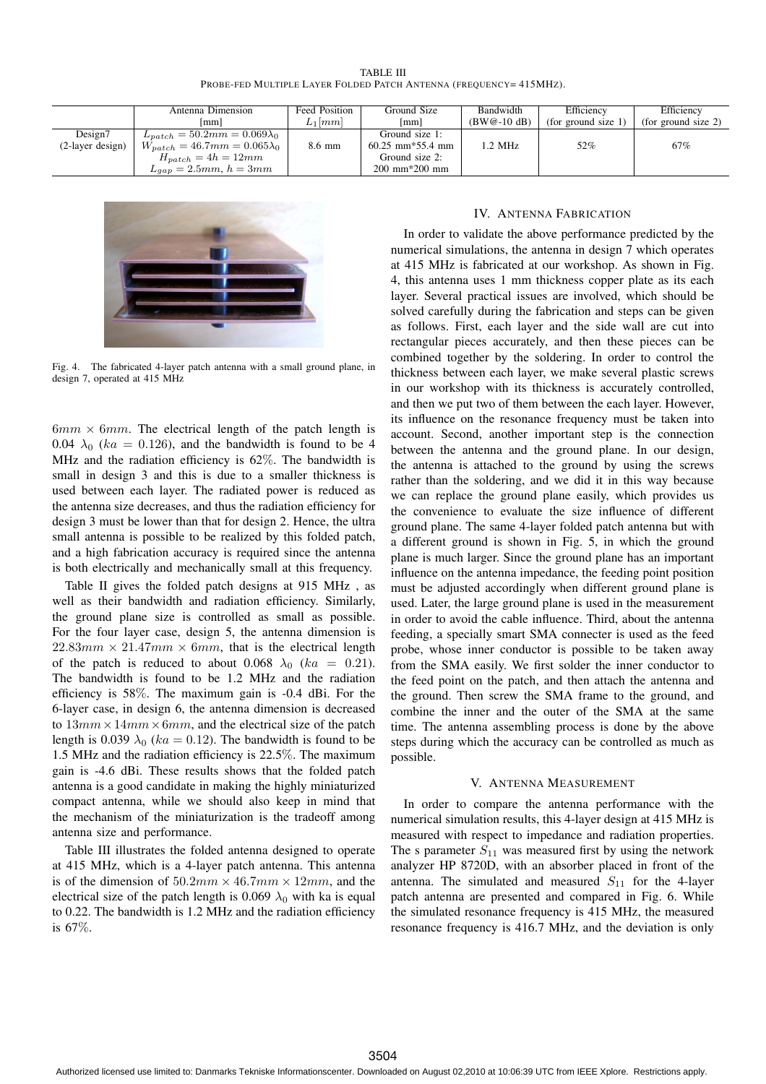TABLE III PROBE-FED MULTIPLE LAYER FOLDED PATCH ANTENNA (FREQUENCY= 415MHz).

|                    | Antenna Dimension                     | <b>Feed Position</b> | Ground Size                                 | Bandwidth     | Efficiency          | Efficiency          |
|--------------------|---------------------------------------|----------------------|---------------------------------------------|---------------|---------------------|---------------------|
|                    | lmm l                                 | $L_1  mm $           | [mm]                                        | $(BW@-10 dB)$ | (for ground size 1) | (for ground size 2) |
| Design7            | $L_{patch} = 50.2mm = 0.069\lambda_0$ |                      | Ground size 1:                              |               |                     |                     |
| $(2-layer design)$ | $W_{patch} = 46.7mm = 0.065\lambda_0$ | 8.6 mm               | $60.25$ mm <sup><math>*55.4</math></sup> mm | 1.2 MHz       | 52%                 | 67%                 |
|                    | $H_{patch} = 4h = 12mm$               |                      | Ground size 2:                              |               |                     |                     |
|                    | $L_{gap} = 2.5mm$ , $h = 3mm$         |                      | $200 \, \text{mm}^*200 \, \text{mm}$        |               |                     |                     |



Fig. 4. The fabricated 4-layer patch antenna with a small ground plane, in design 7, operated at 415 MHz

 $6mm \times 6mm$ . The electrical length of the patch length is 0.04  $\lambda_0$  (ka = 0.126), and the bandwidth is found to be 4 MHz and the radiation efficiency is 62%. The bandwidth is small in design 3 and this is due to a smaller thickness is used between each layer. The radiated power is reduced as the antenna size decreases, and thus the radiation efficiency for design 3 must be lower than that for design 2. Hence, the ultra small antenna is possible to be realized by this folded patch, and a high fabrication accuracy is required since the antenna is both electrically and mechanically small at this frequency.

Table II gives the folded patch designs at 915 MHz , as well as their bandwidth and radiation efficiency. Similarly, the ground plane size is controlled as small as possible. For the four layer case, design 5, the antenna dimension is  $22.83mm \times 21.47mm \times 6mm$ , that is the electrical length of the patch is reduced to about 0.068  $\lambda_0$  (ka = 0.21). The bandwidth is found to be 1.2 MHz and the radiation efficiency is 58%. The maximum gain is -0.4 dBi. For the 6-layer case, in design 6, the antenna dimension is decreased to  $13mm \times 14mm \times 6mm$ , and the electrical size of the patch length is 0.039  $\lambda_0$  (ka = 0.12). The bandwidth is found to be 1.5 MHz and the radiation efficiency is 22.5%. The maximum gain is -4.6 dBi. These results shows that the folded patch antenna is a good candidate in making the highly miniaturized compact antenna, while we should also keep in mind that the mechanism of the miniaturization is the tradeoff among antenna size and performance.

Table III illustrates the folded antenna designed to operate at 415 MHz, which is a 4-layer patch antenna. This antenna is of the dimension of  $50.2mm \times 46.7mm \times 12mm$ , and the electrical size of the patch length is 0.069  $\lambda_0$  with ka is equal to 0.22. The bandwidth is 1.2 MHz and the radiation efficiency is 67%.

## IV. ANTENNA FABRICATION

In order to validate the above performance predicted by the numerical simulations, the antenna in design 7 which operates at 415 MHz is fabricated at our workshop. As shown in Fig. 4, this antenna uses 1 mm thickness copper plate as its each layer. Several practical issues are involved, which should be solved carefully during the fabrication and steps can be given as follows. First, each layer and the side wall are cut into rectangular pieces accurately, and then these pieces can be combined together by the soldering. In order to control the thickness between each layer, we make several plastic screws in our workshop with its thickness is accurately controlled, and then we put two of them between the each layer. However, its influence on the resonance frequency must be taken into account. Second, another important step is the connection between the antenna and the ground plane. In our design, the antenna is attached to the ground by using the screws rather than the soldering, and we did it in this way because we can replace the ground plane easily, which provides us the convenience to evaluate the size influence of different ground plane. The same 4-layer folded patch antenna but with a different ground is shown in Fig. 5, in which the ground plane is much larger. Since the ground plane has an important influence on the antenna impedance, the feeding point position must be adjusted accordingly when different ground plane is used. Later, the large ground plane is used in the measurement in order to avoid the cable influence. Third, about the antenna feeding, a specially smart SMA connecter is used as the feed probe, whose inner conductor is possible to be taken away from the SMA easily. We first solder the inner conductor to the feed point on the patch, and then attach the antenna and the ground. Then screw the SMA frame to the ground, and combine the inner and the outer of the SMA at the same time. The antenna assembling process is done by the above steps during which the accuracy can be controlled as much as possible.

#### V. ANTENNA MEASUREMENT

In order to compare the antenna performance with the numerical simulation results, this 4-layer design at 415 MHz is measured with respect to impedance and radiation properties. The s parameter  $S_{11}$  was measured first by using the network analyzer HP 8720D, with an absorber placed in front of the antenna. The simulated and measured  $S_{11}$  for the 4-layer patch antenna are presented and compared in Fig. 6. While the simulated resonance frequency is 415 MHz, the measured resonance frequency is 416.7 MHz, and the deviation is only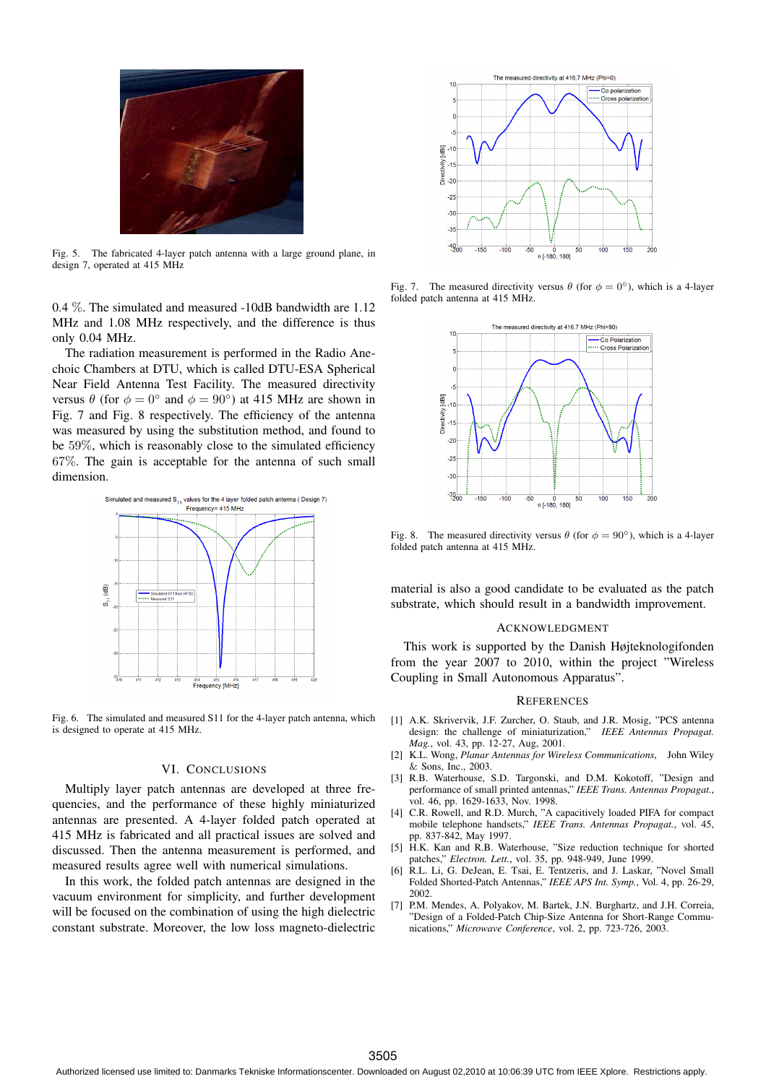

Fig. 5. The fabricated 4-layer patch antenna with a large ground plane, in design 7, operated at 415 MHz

0.4 %. The simulated and measured -10dB bandwidth are 1.12 MHz and 1.08 MHz respectively, and the difference is thus only 0.04 MHz.

The radiation measurement is performed in the Radio Anechoic Chambers at DTU, which is called DTU-ESA Spherical Near Field Antenna Test Facility. The measured directivity versus  $\theta$  (for  $\phi = 0^{\circ}$  and  $\phi = 90^{\circ}$ ) at 415 MHz are shown in Fig. 7 and Fig. 8 respectively. The efficiency of the antenna was measured by using the substitution method, and found to be 59%, which is reasonably close to the simulated efficiency 67%. The gain is acceptable for the antenna of such small dimension.



Fig. 6. The simulated and measured S11 for the 4-layer patch antenna, which is designed to operate at 415 MHz.

## VI. CONCLUSIONS

Multiply layer patch antennas are developed at three frequencies, and the performance of these highly miniaturized antennas are presented. A 4-layer folded patch operated at 415 MHz is fabricated and all practical issues are solved and discussed. Then the antenna measurement is performed, and measured results agree well with numerical simulations.

In this work, the folded patch antennas are designed in the vacuum environment for simplicity, and further development will be focused on the combination of using the high dielectric constant substrate. Moreover, the low loss magneto-dielectric



Fig. 7. The measured directivity versus  $\theta$  (for  $\phi = 0^{\circ}$ ), which is a 4-layer folded patch antenna at 415 MHz.



Fig. 8. The measured directivity versus  $\theta$  (for  $\phi = 90^{\circ}$ ), which is a 4-layer folded patch antenna at 415 MHz.

material is also a good candidate to be evaluated as the patch substrate, which should result in a bandwidth improvement.

#### ACKNOWLEDGMENT

This work is supported by the Danish Højteknologifonden from the year 2007 to 2010, within the project "Wireless Coupling in Small Autonomous Apparatus".

#### **REFERENCES**

- [1] A.K. Skrivervik, J.F. Zurcher, O. Staub, and J.R. Mosig, "PCS antenna design: the challenge of miniaturization," *IEEE Antennas Propagat. Mag.*, vol. 43, pp. 12-27, Aug, 2001.
- [2] K.L. Wong, *Planar Antennas for Wireless Communications*, John Wiley & Sons, Inc., 2003.
- [3] R.B. Waterhouse, S.D. Targonski, and D.M. Kokotoff, "Design and performance of small printed antennas," *IEEE Trans. Antennas Propagat.*, vol. 46, pp. 1629-1633, Nov. 1998.
- [4] C.R. Rowell, and R.D. Murch, "A capacitively loaded PIFA for compact mobile telephone handsets," *IEEE Trans. Antennas Propagat.*, vol. 45, pp. 837-842, May 1997.
- [5] H.K. Kan and R.B. Waterhouse, "Size reduction technique for shorted patches," *Electron. Lett.*, vol. 35, pp. 948-949, June 1999.
- [6] R.L. Li, G. DeJean, E. Tsai, E. Tentzeris, and J. Laskar, "Novel Small Folded Shorted-Patch Antennas," *IEEE APS Int. Symp.*, Vol. 4, pp. 26-29, 2002.
- [7] P.M. Mendes, A. Polyakov, M. Bartek, J.N. Burghartz, and J.H. Correia, "Design of a Folded-Patch Chip-Size Antenna for Short-Range Communications," *Microwave Conference*, vol. 2, pp. 723-726, 2003.